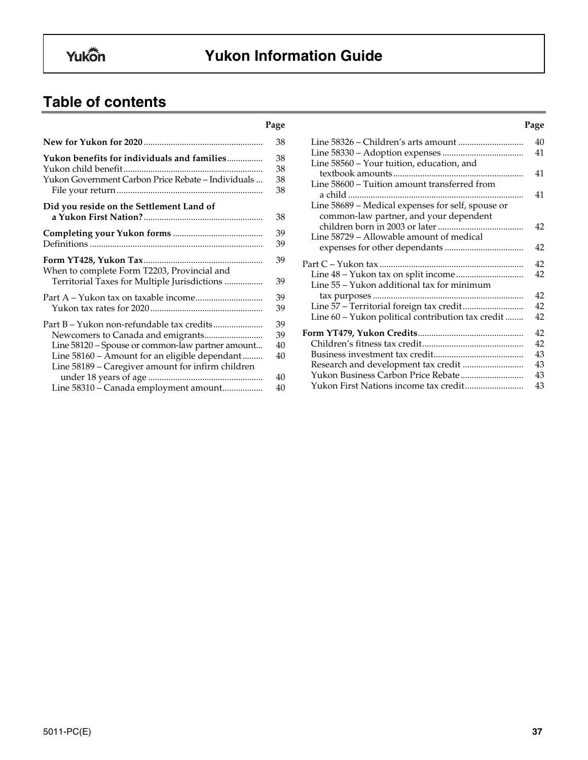# **Yukon Information Guide**

# **Table of contents**

|                                                    | 38 |
|----------------------------------------------------|----|
| Yukon benefits for individuals and families        | 38 |
|                                                    | 38 |
| Yukon Government Carbon Price Rebate - Individuals | 38 |
|                                                    | 38 |
| Did you reside on the Settlement Land of           |    |
|                                                    | 38 |
|                                                    | 39 |
|                                                    | 39 |
|                                                    | 39 |
| When to complete Form T2203, Provincial and        |    |
| Territorial Taxes for Multiple Jurisdictions       | 39 |
| Part A – Yukon tax on taxable income               | 39 |
|                                                    | 39 |
| Part B – Yukon non-refundable tax credits          | 39 |
|                                                    | 39 |
| Line 58120 - Spouse or common-law partner amount   | 40 |
| Line 58160 - Amount for an eligible dependant      | 40 |
| Line 58189 – Caregiver amount for infirm children  |    |
|                                                    | 40 |
| Line 58310 - Canada employment amount              | 40 |

| Page |                                                   | Page |
|------|---------------------------------------------------|------|
| 38   |                                                   | 40   |
|      |                                                   | 41   |
| 38   | Line 58560 – Your tuition, education, and         |      |
| 38   |                                                   | 41   |
| 38   | Line 58600 – Tuition amount transferred from      |      |
| 38   |                                                   | 41   |
|      | Line 58689 – Medical expenses for self, spouse or |      |
| 38   | common-law partner, and your dependent            |      |
|      |                                                   | 42   |
| 39   | Line 58729 - Allowable amount of medical          |      |
| 39   |                                                   | 42   |
| 39   |                                                   | 42   |
|      |                                                   | 42   |
| 39   | Line 55 – Yukon additional tax for minimum        |      |
| 39   |                                                   | 42   |
| 39   |                                                   | 42   |
|      | Line 60 - Yukon political contribution tax credit | 42   |
| 39   |                                                   |      |
| 39   |                                                   | 42   |
| 40   |                                                   | 42   |
| 40   |                                                   | 43   |
|      |                                                   | 43   |
| 40   |                                                   | 43   |
| 40   |                                                   | 43   |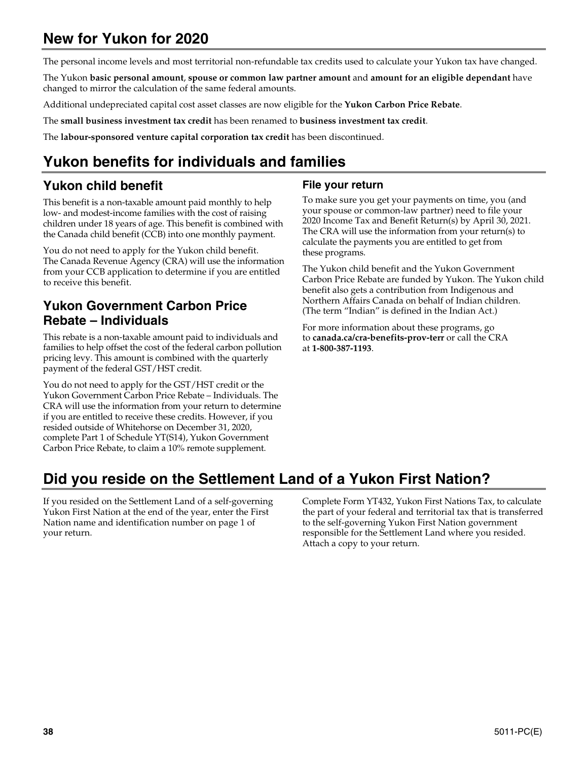# **New for Yukon for 2020**

The personal income levels and most territorial non-refundable tax credits used to calculate your Yukon tax have changed.

The Yukon **basic personal amount**, **spouse or common law partner amount** and **amount for an eligible dependant** have changed to mirror the calculation of the same federal amounts.

Additional undepreciated capital cost asset classes are now eligible for the **Yukon Carbon Price Rebate**.

The **small business investment tax credit** has been renamed to **business investment tax credit**.

The **labour-sponsored venture capital corporation tax credit** has been discontinued.

# **Yukon benefits for individuals and families**

# **Yukon child benefit**

This benefit is a non-taxable amount paid monthly to help low- and modest-income families with the cost of raising children under 18 years of age. This benefit is combined with the Canada child benefit (CCB) into one monthly payment.

You do not need to apply for the Yukon child benefit. The Canada Revenue Agency (CRA) will use the information from your CCB application to determine if you are entitled to receive this benefit.

# **Yukon Government Carbon Price Rebate – Individuals**

This rebate is a non-taxable amount paid to individuals and families to help offset the cost of the federal carbon pollution pricing levy. This amount is combined with the quarterly payment of the federal GST/HST credit.

You do not need to apply for the GST/HST credit or the Yukon Government Carbon Price Rebate – Individuals. The CRA will use the information from your return to determine if you are entitled to receive these credits. However, if you resided outside of Whitehorse on December 31, 2020, complete Part 1 of Schedule YT(S14), Yukon Government Carbon Price Rebate, to claim a 10% remote supplement.

## **File your return**

To make sure you get your payments on time, you (and your spouse or common-law partner) need to file your 2020 Income Tax and Benefit Return(s) by April 30, 2021. The CRA will use the information from your return(s) to calculate the payments you are entitled to get from these programs.

The Yukon child benefit and the Yukon Government Carbon Price Rebate are funded by Yukon. The Yukon child benefit also gets a contribution from Indigenous and Northern Affairs Canada on behalf of Indian children. (The term "Indian" is defined in the Indian Act.)

For more information about these programs, go to **canada.ca/cra-benefits-prov-terr** or call the CRA at **1-800-387-1193**.

# **Did you reside on the Settlement Land of a Yukon First Nation?**

If you resided on the Settlement Land of a self-governing Yukon First Nation at the end of the year, enter the First Nation name and identification number on page 1 of your return.

Complete Form YT432, Yukon First Nations Tax, to calculate the part of your federal and territorial tax that is transferred to the self-governing Yukon First Nation government responsible for the Settlement Land where you resided. Attach a copy to your return.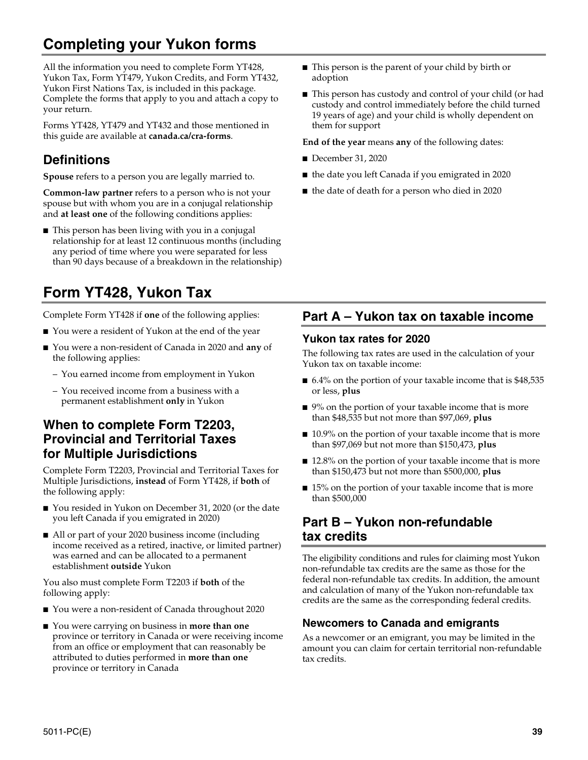# **Completing your Yukon forms**

All the information you need to complete Form YT428, Yukon Tax, Form YT479, Yukon Credits, and Form YT432, Yukon First Nations Tax, is included in this package. Complete the forms that apply to you and attach a copy to your return.

Forms YT428, YT479 and YT432 and those mentioned in this guide are available at **canada.ca/cra-forms**.

# **Definitions**

**Spouse** refers to a person you are legally married to.

**Common-law partner** refers to a person who is not your spouse but with whom you are in a conjugal relationship and **at least one** of the following conditions applies:

■ This person has been living with you in a conjugal relationship for at least 12 continuous months (including any period of time where you were separated for less than 90 days because of a breakdown in the relationship)

# **Form YT428, Yukon Tax**

Complete Form YT428 if **one** of the following applies:

- You were a resident of Yukon at the end of the year
- You were a non-resident of Canada in 2020 and **any** of the following applies:
	- You earned income from employment in Yukon
	- You received income from a business with a permanent establishment **only** in Yukon

# **When to complete Form T2203, Provincial and Territorial Taxes for Multiple Jurisdictions**

Complete Form T2203, Provincial and Territorial Taxes for Multiple Jurisdictions, **instead** of Form YT428, if **both** of the following apply:

- You resided in Yukon on December 31, 2020 (or the date you left Canada if you emigrated in 2020)
- All or part of your 2020 business income (including income received as a retired, inactive, or limited partner) was earned and can be allocated to a permanent establishment **outside** Yukon

You also must complete Form T2203 if **both** of the following apply:

- You were a non-resident of Canada throughout 2020
- You were carrying on business in **more than one** province or territory in Canada or were receiving income from an office or employment that can reasonably be attributed to duties performed in **more than one** province or territory in Canada
- This person is the parent of your child by birth or adoption
- This person has custody and control of your child (or had custody and control immediately before the child turned 19 years of age) and your child is wholly dependent on them for support

**End of the year** means **any** of the following dates:

- December 31, 2020
- the date you left Canada if you emigrated in 2020
- the date of death for a person who died in 2020

# **Part A – Yukon tax on taxable income**

### **Yukon tax rates for 2020**

The following tax rates are used in the calculation of your Yukon tax on taxable income:

- 6.4% on the portion of your taxable income that is \$48,535 or less, **plus**
- 9% on the portion of your taxable income that is more than \$48,535 but not more than \$97,069, **plus**
- 10.9% on the portion of your taxable income that is more than \$97,069 but not more than \$150,473, **plus**
- 12.8% on the portion of your taxable income that is more than \$150,473 but not more than \$500,000, **plus**
- 15% on the portion of your taxable income that is more than \$500,000

# **Part B – Yukon non-refundable tax credits**

The eligibility conditions and rules for claiming most Yukon non-refundable tax credits are the same as those for the federal non-refundable tax credits. In addition, the amount and calculation of many of the Yukon non-refundable tax credits are the same as the corresponding federal credits.

## **Newcomers to Canada and emigrants**

As a newcomer or an emigrant, you may be limited in the amount you can claim for certain territorial non-refundable tax credits.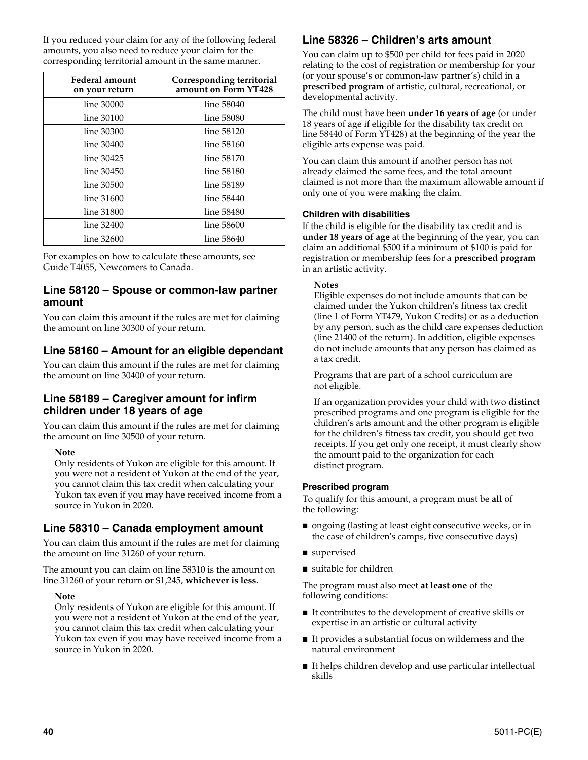If you reduced your claim for any of the following federal amounts, you also need to reduce your claim for the corresponding territorial amount in the same manner.

| Federal amount<br>on your return | Corresponding territorial<br>amount on Form YT428 |
|----------------------------------|---------------------------------------------------|
| line 30000                       | line 58040                                        |
| line 30100                       | line 58080                                        |
| line 30300                       | line 58120                                        |
| line 30400                       | line 58160                                        |
| line 30425                       | line 58170                                        |
| line 30450                       | line 58180                                        |
| line 30500                       | line 58189                                        |
| line 31600                       | line 58440                                        |
| line 31800                       | line 58480                                        |
| line 32400                       | line 58600                                        |
| line 32600                       | line 58640                                        |

For examples on how to calculate these amounts, see Guide T4055, Newcomers to Canada.

### **Line 58120 – Spouse or common-law partner amount**

You can claim this amount if the rules are met for claiming the amount on line 30300 of your return.

## **Line 58160 – Amount for an eligible dependant**

You can claim this amount if the rules are met for claiming the amount on line 30400 of your return.

### **Line 58189 – Caregiver amount for infirm children under 18 years of age**

You can claim this amount if the rules are met for claiming the amount on line 30500 of your return.

#### **Note**

Only residents of Yukon are eligible for this amount. If you were not a resident of Yukon at the end of the year, you cannot claim this tax credit when calculating your Yukon tax even if you may have received income from a source in Yukon in 2020.

## **Line 58310 – Canada employment amount**

You can claim this amount if the rules are met for claiming the amount on line 31260 of your return.

The amount you can claim on line 58310 is the amount on line 31260 of your return **or** \$1,245, **whichever is less**.

#### **Note**

Only residents of Yukon are eligible for this amount. If you were not a resident of Yukon at the end of the year, you cannot claim this tax credit when calculating your Yukon tax even if you may have received income from a source in Yukon in 2020.

## **Line 58326 – Children's arts amount**

You can claim up to \$500 per child for fees paid in 2020 relating to the cost of registration or membership for your (or your spouse's or common-law partner's) child in a **prescribed program** of artistic, cultural, recreational, or developmental activity.

The child must have been **under 16 years of age** (or under 18 years of age if eligible for the disability tax credit on line 58440 of Form YT428) at the beginning of the year the eligible arts expense was paid.

You can claim this amount if another person has not already claimed the same fees, and the total amount claimed is not more than the maximum allowable amount if only one of you were making the claim.

#### **Children with disabilities**

If the child is eligible for the disability tax credit and is **under 18 years of age** at the beginning of the year, you can claim an additional \$500 if a minimum of \$100 is paid for registration or membership fees for a **prescribed program** in an artistic activity.

#### **Notes**

Eligible expenses do not include amounts that can be claimed under the Yukon children's fitness tax credit (line 1 of Form YT479, Yukon Credits) or as a deduction by any person, such as the child care expenses deduction (line 21400 of the return). In addition, eligible expenses do not include amounts that any person has claimed as a tax credit.

Programs that are part of a school curriculum are not eligible.

If an organization provides your child with two **distinct**  prescribed programs and one program is eligible for the children's arts amount and the other program is eligible for the children's fitness tax credit, you should get two receipts. If you get only one receipt, it must clearly show the amount paid to the organization for each distinct program.

#### **Prescribed program**

To qualify for this amount, a program must be **all** of the following:

- ongoing (lasting at least eight consecutive weeks, or in the case of children's camps, five consecutive days)
- supervised
- suitable for children

The program must also meet **at least one** of the following conditions:

- It contributes to the development of creative skills or expertise in an artistic or cultural activity
- It provides a substantial focus on wilderness and the natural environment
- It helps children develop and use particular intellectual skills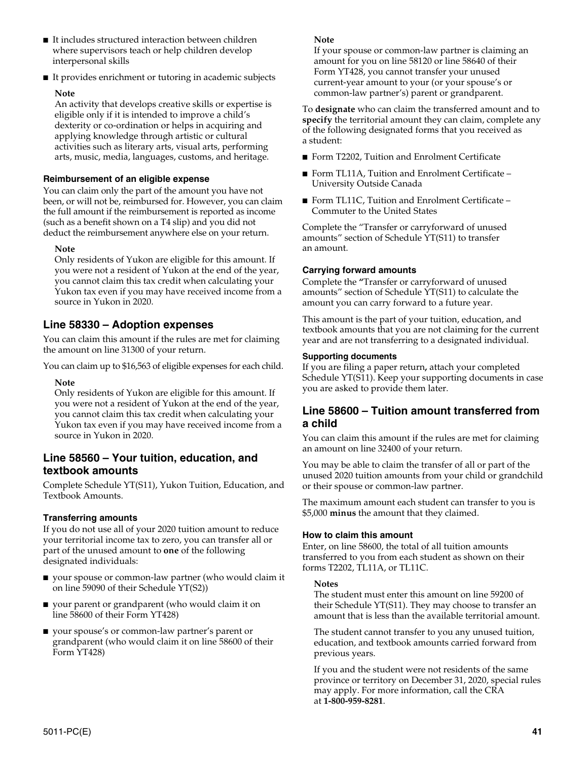- It includes structured interaction between children where supervisors teach or help children develop interpersonal skills
- It provides enrichment or tutoring in academic subjects

#### **Note**

An activity that develops creative skills or expertise is eligible only if it is intended to improve a child's dexterity or co-ordination or helps in acquiring and applying knowledge through artistic or cultural activities such as literary arts, visual arts, performing arts, music, media, languages, customs, and heritage.

#### **Reimbursement of an eligible expense**

You can claim only the part of the amount you have not been, or will not be, reimbursed for. However, you can claim the full amount if the reimbursement is reported as income (such as a benefit shown on a T4 slip) and you did not deduct the reimbursement anywhere else on your return.

#### **Note**

Only residents of Yukon are eligible for this amount. If you were not a resident of Yukon at the end of the year, you cannot claim this tax credit when calculating your Yukon tax even if you may have received income from a source in Yukon in 2020.

### **Line 58330 – Adoption expenses**

You can claim this amount if the rules are met for claiming the amount on line 31300 of your return.

You can claim up to \$16,563 of eligible expenses for each child.

#### **Note**

Only residents of Yukon are eligible for this amount. If you were not a resident of Yukon at the end of the year, you cannot claim this tax credit when calculating your Yukon tax even if you may have received income from a source in Yukon in 2020.

### **Line 58560 – Your tuition, education, and textbook amounts**

Complete Schedule YT(S11), Yukon Tuition, Education, and Textbook Amounts.

#### **Transferring amounts**

If you do not use all of your 2020 tuition amount to reduce your territorial income tax to zero, you can transfer all or part of the unused amount to **one** of the following designated individuals:

- your spouse or common-law partner (who would claim it on line 59090 of their Schedule YT(S2))
- your parent or grandparent (who would claim it on line 58600 of their Form YT428)
- your spouse's or common-law partner's parent or grandparent (who would claim it on line 58600 of their Form YT428)

#### **Note**

If your spouse or common-law partner is claiming an amount for you on line 58120 or line 58640 of their Form YT428, you cannot transfer your unused current-year amount to your (or your spouse's or common-law partner's) parent or grandparent.

To **designate** who can claim the transferred amount and to **specify** the territorial amount they can claim, complete any of the following designated forms that you received as a student:

- Form T2202, Tuition and Enrolment Certificate
- Form TL11A, Tuition and Enrolment Certificate University Outside Canada
- Form TL11C, Tuition and Enrolment Certificate Commuter to the United States

Complete the "Transfer or carryforward of unused amounts" section of Schedule YT(S11) to transfer an amount.

#### **Carrying forward amounts**

Complete the **"**Transfer or carryforward of unused amounts" section of Schedule YT(S11) to calculate the amount you can carry forward to a future year.

This amount is the part of your tuition, education, and textbook amounts that you are not claiming for the current year and are not transferring to a designated individual.

#### **Supporting documents**

If you are filing a paper return**,** attach your completed Schedule YT(S11). Keep your supporting documents in case you are asked to provide them later.

#### **Line 58600 – Tuition amount transferred from a child**

You can claim this amount if the rules are met for claiming an amount on line 32400 of your return.

You may be able to claim the transfer of all or part of the unused 2020 tuition amounts from your child or grandchild or their spouse or common-law partner.

The maximum amount each student can transfer to you is \$5,000 **minus** the amount that they claimed.

#### **How to claim this amount**

Enter, on line 58600, the total of all tuition amounts transferred to you from each student as shown on their forms T2202, TL11A, or TL11C.

#### **Notes**

The student must enter this amount on line 59200 of their Schedule YT(S11). They may choose to transfer an amount that is less than the available territorial amount.

The student cannot transfer to you any unused tuition, education, and textbook amounts carried forward from previous years.

If you and the student were not residents of the same province or territory on December 31, 2020, special rules may apply. For more information, call the CRA at **1-800-959-8281**.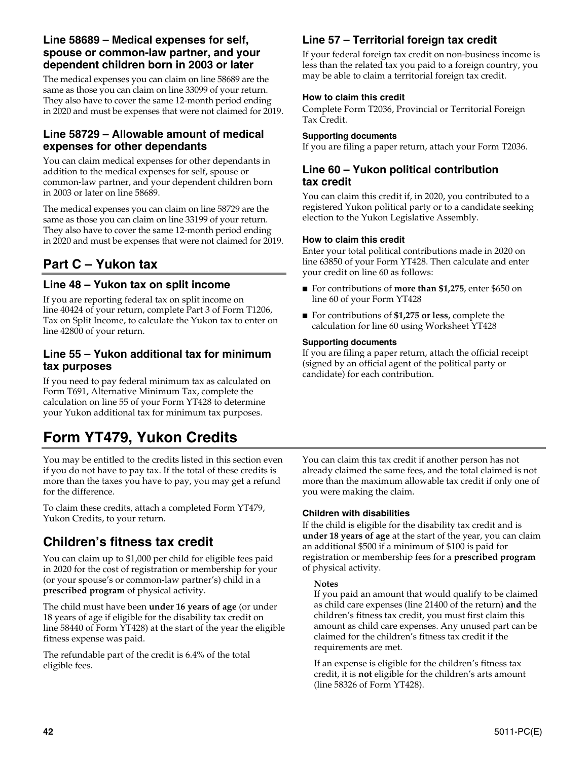### **Line 58689 – Medical expenses for self, spouse or common-law partner, and your dependent children born in 2003 or later**

The medical expenses you can claim on line 58689 are the same as those you can claim on line 33099 of your return. They also have to cover the same 12-month period ending in 2020 and must be expenses that were not claimed for 2019.

### **Line 58729 – Allowable amount of medical expenses for other dependants**

You can claim medical expenses for other dependants in addition to the medical expenses for self, spouse or common-law partner, and your dependent children born in 2003 or later on line 58689.

The medical expenses you can claim on line 58729 are the same as those you can claim on line 33199 of your return. They also have to cover the same 12-month period ending in 2020 and must be expenses that were not claimed for 2019.

# **Part C – Yukon tax**

## **Line 48 – Yukon tax on split income**

If you are reporting federal tax on split income on line 40424 of your return, complete Part 3 of Form T1206, Tax on Split Income, to calculate the Yukon tax to enter on line 42800 of your return.

### **Line 55 – Yukon additional tax for minimum tax purposes**

If you need to pay federal minimum tax as calculated on Form T691, Alternative Minimum Tax, complete the calculation on line 55 of your Form YT428 to determine your Yukon additional tax for minimum tax purposes.

# **Form YT479, Yukon Credits**

You may be entitled to the credits listed in this section even if you do not have to pay tax. If the total of these credits is more than the taxes you have to pay, you may get a refund for the difference.

To claim these credits, attach a completed Form YT479, Yukon Credits, to your return.

# **Children's fitness tax credit**

You can claim up to \$1,000 per child for eligible fees paid in 2020 for the cost of registration or membership for your (or your spouse's or common-law partner's) child in a **prescribed program** of physical activity.

The child must have been **under 16 years of age** (or under 18 years of age if eligible for the disability tax credit on line 58440 of Form YT428) at the start of the year the eligible fitness expense was paid.

The refundable part of the credit is 6.4% of the total eligible fees.

# **Line 57 – Territorial foreign tax credit**

If your federal foreign tax credit on non-business income is less than the related tax you paid to a foreign country, you may be able to claim a territorial foreign tax credit.

#### **How to claim this credit**

Complete Form T2036, Provincial or Territorial Foreign Tax Credit.

#### **Supporting documents**

If you are filing a paper return, attach your Form T2036.

### **Line 60 – Yukon political contribution tax credit**

You can claim this credit if, in 2020, you contributed to a registered Yukon political party or to a candidate seeking election to the Yukon Legislative Assembly.

#### **How to claim this credit**

Enter your total political contributions made in 2020 on line 63850 of your Form YT428. Then calculate and enter your credit on line 60 as follows:

- For contributions of **more than \$1,275**, enter \$650 on line 60 of your Form YT428
- For contributions of **\$1,275 or less**, complete the calculation for line 60 using Worksheet YT428

#### **Supporting documents**

If you are filing a paper return, attach the official receipt (signed by an official agent of the political party or candidate) for each contribution.

You can claim this tax credit if another person has not already claimed the same fees, and the total claimed is not more than the maximum allowable tax credit if only one of you were making the claim.

#### **Children with disabilities**

If the child is eligible for the disability tax credit and is **under 18 years of age** at the start of the year, you can claim an additional \$500 if a minimum of \$100 is paid for registration or membership fees for a **prescribed program** of physical activity.

#### **Notes**

If you paid an amount that would qualify to be claimed as child care expenses (line 21400 of the return) **and** the children's fitness tax credit, you must first claim this amount as child care expenses. Any unused part can be claimed for the children's fitness tax credit if the requirements are met.

If an expense is eligible for the children's fitness tax credit, it is **not** eligible for the children's arts amount (line 58326 of Form YT428).